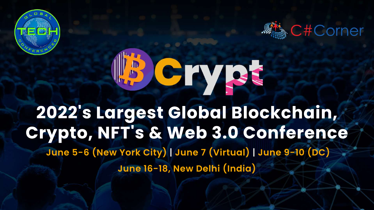

### LB Cryst **2022' sLargestGlobalBlockchain, Crypto,NFT' s&Web3.0Conference June5-6(NewYorkCity)|June7(Virtual)|June9-10(DC) June16-18,NewDelhi(India)**



**AMA C#Corner** 

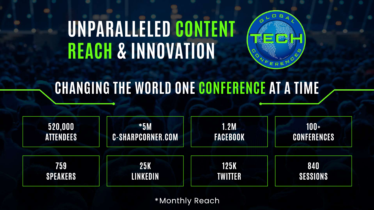## UNPARALLELED CONTENT **REACH&INNOVATION**

### **CHANGING THE WORLD ONE CONFERENCE AT A TIME**

**520,000 ATTENDEES**

**\*5M C-SHARPCORNER.COM**

**759 SPEAKERS**





**25K LINKEDIN**

\*Monthly Reach

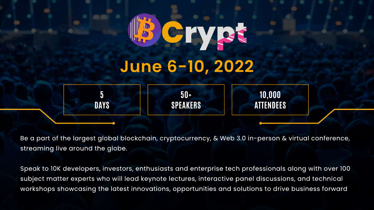

Be a part of the largest global blockchain, cryptocurrency, & Web 3.0 in-person & virtual conference, streaming live around the globe.

Speak to 10K developers, investors, enthusiasts and enterprise tech professionals along with over 100 subject matter experts who will lead keynote lectures, interactive panel discussions, and technical workshops showcasing the latest innovations, opportunities and solutions to drive business forward

**50+ SPEAKERS**

#### **10,000 ATTENDEES**



## C M T **June6-10,2022**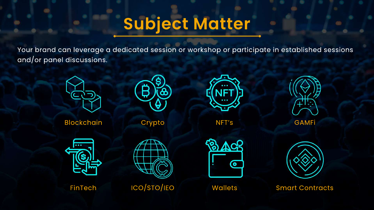### Subject Matter

Your brand can leverage a dedicated session or workshop or participate in established sessions and/or panel discussions.



Blockchain



Crypto



FinTech



ICO/STO/IEO



NFT's





Wallets



**Smart Contracts** 

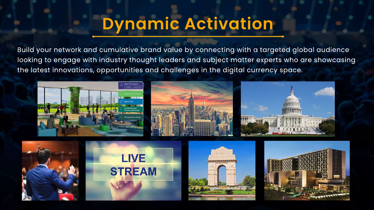Build your network and cumulative brand value by connecting with a targeted global audience looking to engage with industry thought leaders and subject matter experts who are showcasing the latest innovations, opportunities and challenges in the digital currency space.







### **Dynamic Activation**







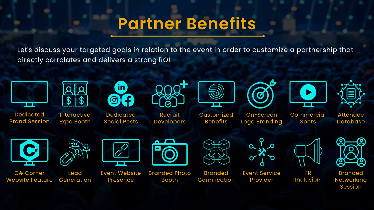### **Partner Benefits**

Let's discuss your targeted goals in relation to the event in order to customize a partnership that directly corrolates and delivers a strong ROI.

> **Event Service** Provider





**Branded Photo** Booth





Event Website Presence



**Commercial** Spots

> PR Inclusion

On-Screen Logo Branding



Recruit **Developers** 



Website Feature Generation C# Corner

Dedicated Social Posts



Branded Gamification



Interactive Expo Booth

fin ල



Dedicated **Brand Session** 









Lead

Customized Benefits

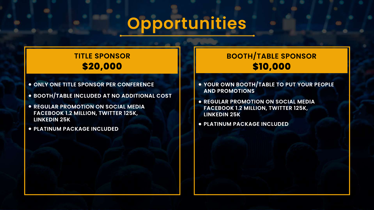- $\bullet$  **ONLY ONE TITLE SPONSOR PER CONFERENCE**
- **BOOTH/TABLE INCLUDED AT NO ADDITIONAL COST**
- **REGULAR PROMOTION ON SOCIAL MEDIA FACEBOOK1.2MILLION,TWITTER125K, LINKEDIN25K**
- **PLATINUM PACKAGEINCLUDED**
- **YOUR OWN BOOTH/TABLE TO PUT YOUR PEOPLE AND PROMOTIONS**
- **REGULAR PROMOTION ON SOCIAL MEDIA FACEBOOK1.2MILLION,TWITTER125K, LINKEDIN25K**
- **PLATINUM PACKAGEINCLUDED**



#### **TITLE SPONSOR \$20,000**

#### **BOOTH/TABLESPONSOR \$10,000**

### **Opportunities**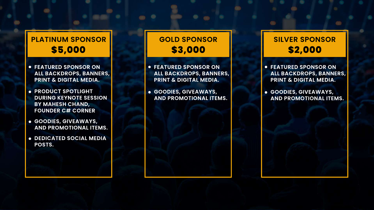- **FEATURED SPONSOR ON ALLBACKDROPS,BANNERS, PRINT & DIGITAL MEDIA.**
- **PRODUCT SPOTLIGHT DURING KEYNOTE SESSION BY MAHESH CHAND, FOUNDERC# CORNER**
- **GOODIES,GIVEAWAYS, AND PROMOTIONAL ITEMS.**
- $\bullet$  **DEDICATED SOCIAL MEDIA POSTS.**

**GOODIES,GIVEAWAYS, AND PROMOTIONAL ITEMS.** 

### **GOLD SPONSOR \$3,000**

- 
- 

**• FEATURED SPONSOR ON** ALL BACKDROPS, BANNERS, **PRINT & DIGITAL MEDIA.** 

#### **PLATINUM SPONSOR \$5,000**

#### **SILVER SPONSOR \$2,000**

- **FEATURED SPONSOR ON ALLBACKDROPS,BANNERS, PRINT & DIGITAL MEDIA.**
- **GOODIES,GIVEAWAYS, AND PROMOTIONAL ITEMS.**